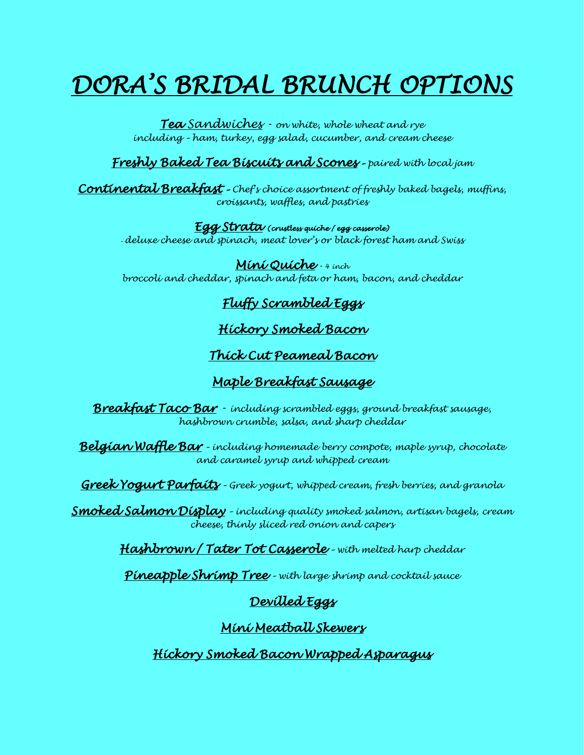# *DORA'S BRIDAL BRUNCH OPTIONS*

*Tea Sandwiches - on white, whole wheat and rye including – ham, turkey, egg salad, cucumber, and cream cheese*

*Freshly Baked Tea Biscuits and Scones – paired with local jam*

*Continental Breakfast – Chef's choice assortment of freshly baked bagels, muffins, croissants, waffles, and pastries* 

*Egg Strata (crustless quiche / egg casserole)* 

*– deluxe cheese and spinach, meat lover's or black forest ham and Swiss*

*Mini Quiche - 4 inch broccoli and cheddar, spinach and feta or ham, bacon, and cheddar*

# *Fluffy Scrambled Eggs*

# *Hickory Smoked Bacon*

## *Thick Cut Peameal Bacon*

# *Maple Breakfast Sausage*

*Breakfast Taco Bar - including scrambled eggs, ground breakfast sausage, hashbrown crumble, salsa, and sharp cheddar*

*Belgian Waffle Bar – including homemade berry compote, maple syrup, chocolate and caramel syrup and whipped cream*

*Greek Yogurt Parfaits – Greek yogurt, whipped cream, fresh berries, and granola* 

*Smoked Salmon Display – including quality smoked salmon, artisan bagels, cream cheese, thinly sliced red onion and capers*

*Hashbrown / Tater Tot Casserole – with melted harp cheddar*

*Pineapple Shrimp Tree – with large shrimp and cocktail sauce* 

# *Devilled Eggs*

## *Mini Meatball Skewers*

*Hickory Smoked Bacon Wrapped Asparagus*